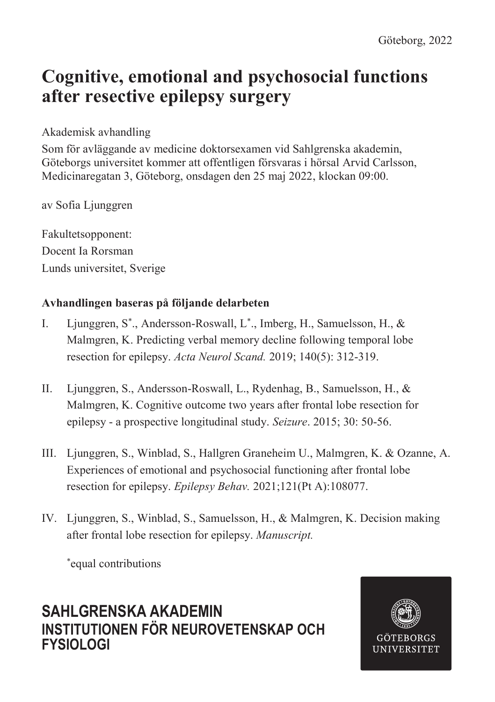# **Cognitive, emotional and psychosocial functions after resective epilepsy surgery**

### Akademisk avhandling

Som för avläggande av medicine doktorsexamen vid Sahlgrenska akademin, Göteborgs universitet kommer att offentligen försvaras i hörsal Arvid Carlsson, Medicinaregatan 3, Göteborg, onsdagen den 25 maj 2022, klockan 09:00.

av Sofia Ljunggren

Fakultetsopponent: Docent Ia Rorsman Lunds universitet, Sverige

## **Avhandlingen baseras på följande delarbeten**

- I. Ljunggren, S\* ., Andersson-Roswall, L\* ., Imberg, H., Samuelsson, H., & Malmgren, K. Predicting verbal memory decline following temporal lobe resection for epilepsy. *Acta Neurol Scand.* 2019; 140(5): 312-319.
- II. Ljunggren, S., Andersson-Roswall, L., Rydenhag, B., Samuelsson, H., & Malmgren, K. Cognitive outcome two years after frontal lobe resection for epilepsy - a prospective longitudinal study. *Seizure*. 2015; 30: 50-56.
- III. Ljunggren, S., Winblad, S., Hallgren Graneheim U., Malmgren, K. & Ozanne, A. Experiences of emotional and psychosocial functioning after frontal lobe resection for epilepsy. *Epilepsy Behav.* 2021;121(Pt A):108077.
- IV. Ljunggren, S., Winblad, S., Samuelsson, H., & Malmgren, K. Decision making after frontal lobe resection for epilepsy. *Manuscript.*

\* equal contributions

## **SAHLGRENSKA AKADEMIN INSTITUTIONEN FÖR NEUROVETENSKAP OCH FYSIOLOGI**